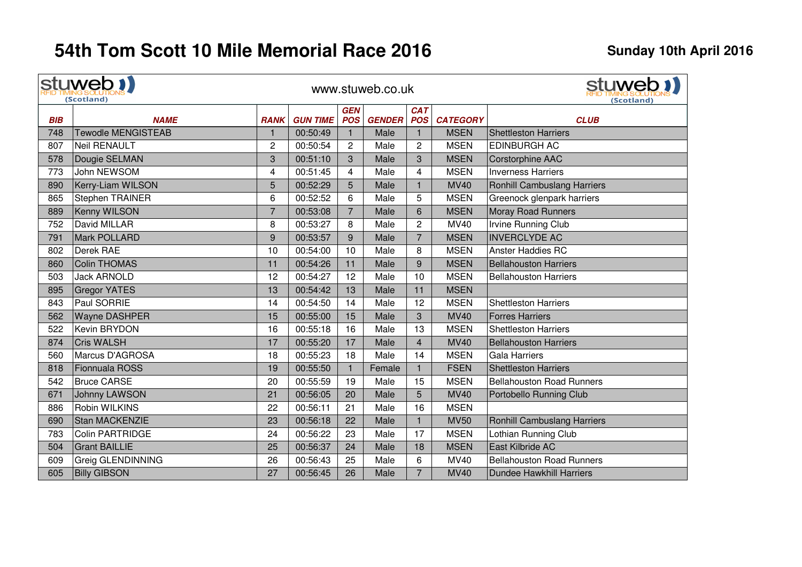|            | stuweb !!<br>(Scotland)   |                |                 |                          | www.stuweb.co.uk |                          |                 | stuweb 1)<br>(Scotland)            |
|------------|---------------------------|----------------|-----------------|--------------------------|------------------|--------------------------|-----------------|------------------------------------|
| <b>BIB</b> | <b>NAME</b>               | <b>RANK</b>    | <b>GUN TIME</b> | <b>GEN</b><br><b>POS</b> | <b>GENDER</b>    | <b>CAT</b><br><b>POS</b> | <b>CATEGORY</b> | <b>CLUB</b>                        |
| 748        | <b>Tewodle MENGISTEAB</b> | 1              | 00:50:49        | $\mathbf{1}$             | Male             | $\mathbf{1}$             | <b>MSEN</b>     | <b>Shettleston Harriers</b>        |
| 807        | <b>Neil RENAULT</b>       | 2              | 00:50:54        | $\overline{2}$           | Male             | $\overline{2}$           | <b>MSEN</b>     | <b>EDINBURGH AC</b>                |
| 578        | Dougie SELMAN             | 3              | 00:51:10        | 3                        | Male             | 3                        | <b>MSEN</b>     | <b>Corstorphine AAC</b>            |
| 773        | John NEWSOM               | 4              | 00:51:45        | 4                        | Male             | 4                        | <b>MSEN</b>     | <b>Inverness Harriers</b>          |
| 890        | Kerry-Liam WILSON         | 5              | 00:52:29        | 5                        | Male             | $\mathbf{1}$             | <b>MV40</b>     | <b>Ronhill Cambuslang Harriers</b> |
| 865        | Stephen TRAINER           | 6              | 00:52:52        | 6                        | Male             | 5                        | <b>MSEN</b>     | Greenock glenpark harriers         |
| 889        | Kenny WILSON              | $\overline{7}$ | 00:53:08        | $\overline{7}$           | Male             | 6                        | <b>MSEN</b>     | <b>Moray Road Runners</b>          |
| 752        | David MILLAR              | 8              | 00:53:27        | 8                        | Male             | $\overline{c}$           | <b>MV40</b>     | Irvine Running Club                |
| 791        | Mark POLLARD              | 9              | 00:53:57        | 9                        | Male             | $\overline{7}$           | <b>MSEN</b>     | <b>INVERCLYDE AC</b>               |
| 802        | Derek RAE                 | 10             | 00:54:00        | 10                       | Male             | 8                        | <b>MSEN</b>     | <b>Anster Haddies RC</b>           |
| 860        | Colin THOMAS              | 11             | 00:54:26        | 11                       | Male             | 9                        | <b>MSEN</b>     | <b>Bellahouston Harriers</b>       |
| 503        | <b>Jack ARNOLD</b>        | 12             | 00:54:27        | 12                       | Male             | 10                       | <b>MSEN</b>     | <b>Bellahouston Harriers</b>       |
| 895        | <b>Gregor YATES</b>       | 13             | 00:54:42        | 13                       | Male             | 11                       | <b>MSEN</b>     |                                    |
| 843        | Paul SORRIE               | 14             | 00:54:50        | 14                       | Male             | 12                       | <b>MSEN</b>     | <b>Shettleston Harriers</b>        |
| 562        | <b>Wayne DASHPER</b>      | 15             | 00:55:00        | 15                       | Male             | 3                        | <b>MV40</b>     | <b>Forres Harriers</b>             |
| 522        | Kevin BRYDON              | 16             | 00:55:18        | 16                       | Male             | 13                       | <b>MSEN</b>     | <b>Shettleston Harriers</b>        |
| 874        | Cris WALSH                | 17             | 00:55:20        | 17                       | Male             | $\overline{4}$           | <b>MV40</b>     | <b>Bellahouston Harriers</b>       |
| 560        | Marcus D'AGROSA           | 18             | 00:55:23        | 18                       | Male             | 14                       | <b>MSEN</b>     | <b>Gala Harriers</b>               |
| 818        | Fionnuala ROSS            | 19             | 00:55:50        | $\mathbf{1}$             | Female           |                          | <b>FSEN</b>     | <b>Shettleston Harriers</b>        |
| 542        | <b>Bruce CARSE</b>        | 20             | 00:55:59        | 19                       | Male             | 15                       | <b>MSEN</b>     | <b>Bellahouston Road Runners</b>   |
| 671        | Johnny LAWSON             | 21             | 00:56:05        | 20                       | Male             | 5                        | <b>MV40</b>     | Portobello Running Club            |
| 886        | Robin WILKINS             | 22             | 00:56:11        | 21                       | Male             | 16                       | <b>MSEN</b>     |                                    |
| 690        | Stan MACKENZIE            | 23             | 00:56:18        | 22                       | Male             | $\mathbf{1}$             | <b>MV50</b>     | <b>Ronhill Cambuslang Harriers</b> |
| 783        | Colin PARTRIDGE           | 24             | 00:56:22        | 23                       | Male             | 17                       | <b>MSEN</b>     | Lothian Running Club               |
| 504        | <b>Grant BAILLIE</b>      | 25             | 00:56:37        | 24                       | Male             | 18                       | <b>MSEN</b>     | East Kilbride AC                   |
| 609        | <b>Greig GLENDINNING</b>  | 26             | 00:56:43        | 25                       | Male             | 6                        | <b>MV40</b>     | <b>Bellahouston Road Runners</b>   |
| 605        | <b>Billy GIBSON</b>       | 27             | 00:56:45        | 26                       | Male             | $\overline{7}$           | <b>MV40</b>     | <b>Dundee Hawkhill Harriers</b>    |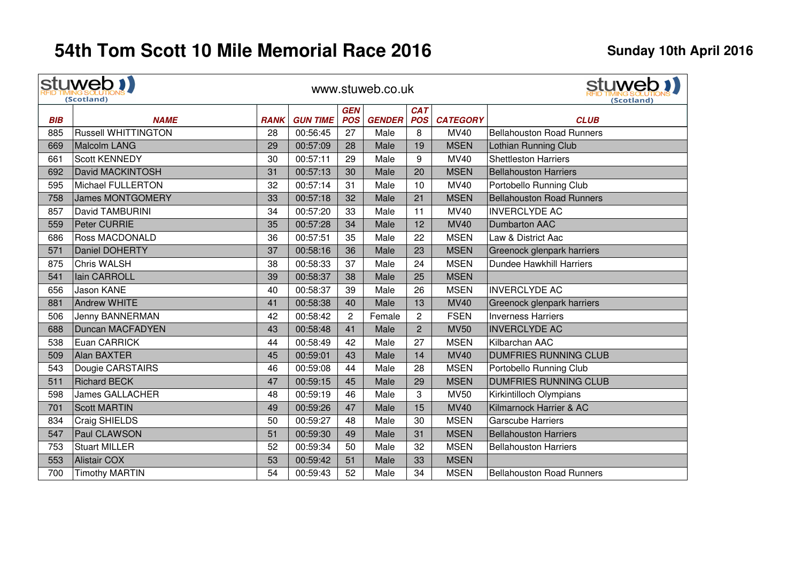$\mathbf{r}$ 

|            | stuweb !!<br>(Scotland)    |             |                 |                          | www.stuweb.co.uk |                          |                 | stuweb 1<br>(Scotland)           |
|------------|----------------------------|-------------|-----------------|--------------------------|------------------|--------------------------|-----------------|----------------------------------|
| <b>BIB</b> | <b>NAME</b>                | <b>RANK</b> | <b>GUN TIME</b> | <b>GEN</b><br><b>POS</b> | <b>GENDER</b>    | <b>CAT</b><br><b>POS</b> | <b>CATEGORY</b> | <b>CLUB</b>                      |
| 885        | <b>Russell WHITTINGTON</b> | 28          | 00:56:45        | 27                       | Male             | 8                        | MV40            | <b>Bellahouston Road Runners</b> |
| 669        | Malcolm LANG               | 29          | 00:57:09        | 28                       | Male             | 19                       | <b>MSEN</b>     | Lothian Running Club             |
| 661        | <b>Scott KENNEDY</b>       | 30          | 00:57:11        | 29                       | Male             | 9                        | MV40            | <b>Shettleston Harriers</b>      |
| 692        | David MACKINTOSH           | 31          | 00:57:13        | 30                       | Male             | 20                       | <b>MSEN</b>     | <b>Bellahouston Harriers</b>     |
| 595        | <b>Michael FULLERTON</b>   | 32          | 00:57:14        | 31                       | Male             | 10                       | <b>MV40</b>     | Portobello Running Club          |
| 758        | <b>James MONTGOMERY</b>    | 33          | 00:57:18        | 32                       | Male             | 21                       | <b>MSEN</b>     | <b>Bellahouston Road Runners</b> |
| 857        | David TAMBURINI            | 34          | 00:57:20        | 33                       | Male             | 11                       | MV40            | <b>INVERCLYDE AC</b>             |
| 559        | Peter CURRIE               | 35          | 00:57:28        | 34                       | Male             | 12                       | <b>MV40</b>     | <b>Dumbarton AAC</b>             |
| 686        | <b>Ross MACDONALD</b>      | 36          | 00:57:51        | 35                       | Male             | 22                       | <b>MSEN</b>     | Law & District Aac               |
| 571        | Daniel DOHERTY             | 37          | 00:58:16        | 36                       | Male             | 23                       | <b>MSEN</b>     | Greenock glenpark harriers       |
| 875        | <b>Chris WALSH</b>         | 38          | 00:58:33        | 37                       | Male             | 24                       | <b>MSEN</b>     | Dundee Hawkhill Harriers         |
| 541        | lain CARROLL               | 39          | 00:58:37        | 38                       | Male             | 25                       | <b>MSEN</b>     |                                  |
| 656        | Jason KANE                 | 40          | 00:58:37        | 39                       | Male             | 26                       | <b>MSEN</b>     | <b>INVERCLYDE AC</b>             |
| 881        | <b>Andrew WHITE</b>        | 41          | 00:58:38        | 40                       | Male             | 13                       | <b>MV40</b>     | Greenock glenpark harriers       |
| 506        | Jenny BANNERMAN            | 42          | 00:58:42        | $\overline{c}$           | Female           | $\overline{c}$           | <b>FSEN</b>     | <b>Inverness Harriers</b>        |
| 688        | <b>Duncan MACFADYEN</b>    | 43          | 00:58:48        | 41                       | Male             | $\overline{2}$           | <b>MV50</b>     | <b>INVERCLYDE AC</b>             |
| 538        | Euan CARRICK               | 44          | 00:58:49        | 42                       | Male             | 27                       | <b>MSEN</b>     | Kilbarchan AAC                   |
| 509        | Alan BAXTER                | 45          | 00:59:01        | 43                       | Male             | 14                       | <b>MV40</b>     | <b>DUMFRIES RUNNING CLUB</b>     |
| 543        | Dougie CARSTAIRS           | 46          | 00:59:08        | 44                       | Male             | 28                       | <b>MSEN</b>     | Portobello Running Club          |
| 511        | Richard BECK               | 47          | 00:59:15        | 45                       | Male             | 29                       | <b>MSEN</b>     | <b>DUMFRIES RUNNING CLUB</b>     |
| 598        | <b>James GALLACHER</b>     | 48          | 00:59:19        | 46                       | Male             | 3                        | <b>MV50</b>     | Kirkintilloch Olympians          |
| 701        | <b>Scott MARTIN</b>        | 49          | 00:59:26        | 47                       | Male             | 15                       | <b>MV40</b>     | Kilmarnock Harrier & AC          |
| 834        | Craig SHIELDS              | 50          | 00:59:27        | 48                       | Male             | 30                       | <b>MSEN</b>     | <b>Garscube Harriers</b>         |
| 547        | Paul CLAWSON               | 51          | 00:59:30        | 49                       | Male             | 31                       | <b>MSEN</b>     | <b>Bellahouston Harriers</b>     |
| 753        | <b>Stuart MILLER</b>       | 52          | 00:59:34        | 50                       | Male             | 32                       | <b>MSEN</b>     | <b>Bellahouston Harriers</b>     |
| 553        | <b>Alistair COX</b>        | 53          | 00:59:42        | 51                       | Male             | 33                       | <b>MSEN</b>     |                                  |
| 700        | <b>Timothy MARTIN</b>      | 54          | 00:59:43        | 52                       | Male             | 34                       | <b>MSEN</b>     | <b>Bellahouston Road Runners</b> |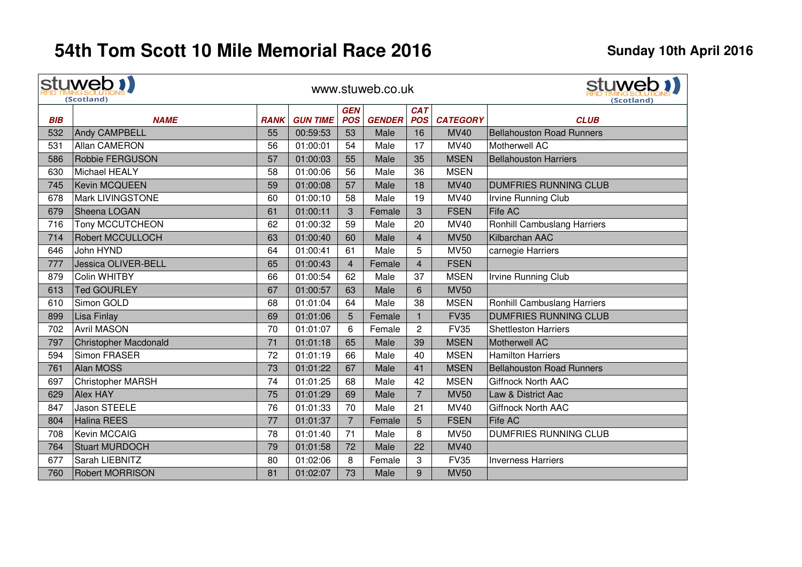|            | stuweb !!<br>(Scotland)      |             |                 |                          | www.stuweb.co.uk |                          |                 | stuweb !!<br>(Scotland)          |
|------------|------------------------------|-------------|-----------------|--------------------------|------------------|--------------------------|-----------------|----------------------------------|
| <b>BIB</b> | <b>NAME</b>                  | <b>RANK</b> | <b>GUN TIME</b> | <b>GEN</b><br><b>POS</b> | <b>GENDER</b>    | <b>CAT</b><br><b>POS</b> | <b>CATEGORY</b> | <b>CLUB</b>                      |
| 532        | <b>Andy CAMPBELL</b>         | 55          | 00:59:53        | 53                       | Male             | 16                       | <b>MV40</b>     | <b>Bellahouston Road Runners</b> |
| 531        | Allan CAMERON                | 56          | 01:00:01        | 54                       | Male             | 17                       | <b>MV40</b>     | Motherwell AC                    |
| 586        | Robbie FERGUSON              | 57          | 01:00:03        | 55                       | Male             | 35                       | <b>MSEN</b>     | <b>Bellahouston Harriers</b>     |
| 630        | Michael HEALY                | 58          | 01:00:06        | 56                       | Male             | 36                       | <b>MSEN</b>     |                                  |
| 745        | Kevin MCQUEEN                | 59          | 01:00:08        | 57                       | Male             | 18                       | <b>MV40</b>     | <b>DUMFRIES RUNNING CLUB</b>     |
| 678        | <b>Mark LIVINGSTONE</b>      | 60          | 01:00:10        | 58                       | Male             | 19                       | <b>MV40</b>     | Irvine Running Club              |
| 679        | Sheena LOGAN                 | 61          | 01:00:11        | 3                        | Female           | 3                        | <b>FSEN</b>     | Fife AC                          |
| 716        | <b>Tony MCCUTCHEON</b>       | 62          | 01:00:32        | 59                       | Male             | 20                       | MV40            | Ronhill Cambuslang Harriers      |
| 714        | <b>Robert MCCULLOCH</b>      | 63          | 01:00:40        | 60                       | Male             | $\overline{4}$           | <b>MV50</b>     | Kilbarchan AAC                   |
| 646        | John HYND                    | 64          | 01:00:41        | 61                       | Male             | 5                        | <b>MV50</b>     | carnegie Harriers                |
| 777        | Jessica OLIVER-BELL          | 65          | 01:00:43        | $\overline{4}$           | Female           | $\overline{4}$           | <b>FSEN</b>     |                                  |
| 879        | Colin WHITBY                 | 66          | 01:00:54        | 62                       | Male             | 37                       | <b>MSEN</b>     | Irvine Running Club              |
| 613        | <b>Ted GOURLEY</b>           | 67          | 01:00:57        | 63                       | Male             | $6\phantom{1}$           | <b>MV50</b>     |                                  |
| 610        | Simon GOLD                   | 68          | 01:01:04        | 64                       | Male             | 38                       | <b>MSEN</b>     | Ronhill Cambuslang Harriers      |
| 899        | Lisa Finlay                  | 69          | 01:01:06        | 5                        | Female           | $\mathbf{1}$             | <b>FV35</b>     | <b>DUMFRIES RUNNING CLUB</b>     |
| 702        | <b>Avril MASON</b>           | 70          | 01:01:07        | 6                        | Female           | $\overline{2}$           | <b>FV35</b>     | <b>Shettleston Harriers</b>      |
| 797        | <b>Christopher Macdonald</b> | 71          | 01:01:18        | 65                       | Male             | 39                       | <b>MSEN</b>     | Motherwell AC                    |
| 594        | Simon FRASER                 | 72          | 01:01:19        | 66                       | Male             | 40                       | <b>MSEN</b>     | <b>Hamilton Harriers</b>         |
| 761        | Alan MOSS                    | 73          | 01:01:22        | 67                       | Male             | 41                       | <b>MSEN</b>     | <b>Bellahouston Road Runners</b> |
| 697        | <b>Christopher MARSH</b>     | 74          | 01:01:25        | 68                       | Male             | 42                       | <b>MSEN</b>     | <b>Giffnock North AAC</b>        |
| 629        | <b>Alex HAY</b>              | 75          | 01:01:29        | 69                       | Male             | $\overline{7}$           | <b>MV50</b>     | Law & District Aac               |
| 847        | Jason STEELE                 | 76          | 01:01:33        | 70                       | Male             | 21                       | MV40            | <b>Giffnock North AAC</b>        |
| 804        | Halina REES                  | 77          | 01:01:37        | $\overline{7}$           | Female           | 5                        | <b>FSEN</b>     | <b>Fife AC</b>                   |
| 708        | Kevin MCCAIG                 | 78          | 01:01:40        | 71                       | Male             | 8                        | <b>MV50</b>     | DUMFRIES RUNNING CLUB            |
| 764        | Stuart MURDOCH               | 79          | 01:01:58        | 72                       | Male             | 22                       | <b>MV40</b>     |                                  |
| 677        | Sarah LIEBNITZ               | 80          | 01:02:06        | 8                        | Female           | 3                        | <b>FV35</b>     | <b>Inverness Harriers</b>        |
| 760        | <b>Robert MORRISON</b>       | 81          | 01:02:07        | 73                       | Male             | 9                        | <b>MV50</b>     |                                  |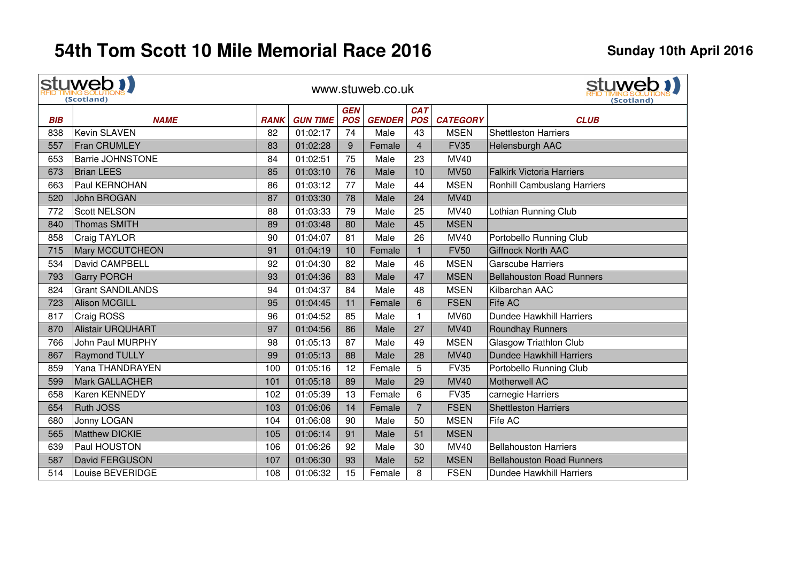|            | stuweb !!<br>(Scotland)  |             |                 |            | www.stuweb.co.uk |                | stuweb 1)<br>(Scotland) |                                  |
|------------|--------------------------|-------------|-----------------|------------|------------------|----------------|-------------------------|----------------------------------|
|            |                          |             |                 | <b>GEN</b> |                  | <b>CAT</b>     |                         |                                  |
| <b>BIB</b> | <b>NAME</b>              | <b>RANK</b> | <b>GUN TIME</b> | <b>POS</b> | <b>GENDER</b>    | <b>POS</b>     | <b>CATEGORY</b>         | <b>CLUB</b>                      |
| 838        | <b>Kevin SLAVEN</b>      | 82          | 01:02:17        | 74         | Male             | 43             | <b>MSEN</b>             | <b>Shettleston Harriers</b>      |
| 557        | <b>Fran CRUMLEY</b>      | 83          | 01:02:28        | 9          | Female           | $\overline{4}$ | <b>FV35</b>             | Helensburgh AAC                  |
| 653        | <b>Barrie JOHNSTONE</b>  | 84          | 01:02:51        | 75         | Male             | 23             | <b>MV40</b>             |                                  |
| 673        | <b>Brian LEES</b>        | 85          | 01:03:10        | 76         | Male             | 10             | <b>MV50</b>             | <b>Falkirk Victoria Harriers</b> |
| 663        | Paul KERNOHAN            | 86          | 01:03:12        | 77         | Male             | 44             | <b>MSEN</b>             | Ronhill Cambuslang Harriers      |
| 520        | John BROGAN              | 87          | 01:03:30        | 78         | Male             | 24             | <b>MV40</b>             |                                  |
| 772        | <b>Scott NELSON</b>      | 88          | 01:03:33        | 79         | Male             | 25             | <b>MV40</b>             | Lothian Running Club             |
| 840        | <b>Thomas SMITH</b>      | 89          | 01:03:48        | 80         | Male             | 45             | <b>MSEN</b>             |                                  |
| 858        | Craig TAYLOR             | 90          | 01:04:07        | 81         | Male             | 26             | MV40                    | Portobello Running Club          |
| 715        | <b>Mary MCCUTCHEON</b>   | 91          | 01:04:19        | 10         | Female           | $\mathbf{1}$   | <b>FV50</b>             | <b>Giffnock North AAC</b>        |
| 534        | David CAMPBELL           | 92          | 01:04:30        | 82         | Male             | 46             | <b>MSEN</b>             | <b>Garscube Harriers</b>         |
| 793        | <b>Garry PORCH</b>       | 93          | 01:04:36        | 83         | Male             | 47             | <b>MSEN</b>             | <b>Bellahouston Road Runners</b> |
| 824        | <b>Grant SANDILANDS</b>  | 94          | 01:04:37        | 84         | Male             | 48             | <b>MSEN</b>             | Kilbarchan AAC                   |
| 723        | <b>Alison MCGILL</b>     | 95          | 01:04:45        | 11         | Female           | 6              | <b>FSEN</b>             | <b>Fife AC</b>                   |
| 817        | Craig ROSS               | 96          | 01:04:52        | 85         | Male             | 1              | <b>MV60</b>             | <b>Dundee Hawkhill Harriers</b>  |
| 870        | <b>Alistair URQUHART</b> | 97          | 01:04:56        | 86         | Male             | 27             | <b>MV40</b>             | <b>Roundhay Runners</b>          |
| 766        | <b>John Paul MURPHY</b>  | 98          | 01:05:13        | 87         | Male             | 49             | <b>MSEN</b>             | Glasgow Triathlon Club           |
| 867        | <b>Raymond TULLY</b>     | 99          | 01:05:13        | 88         | Male             | 28             | <b>MV40</b>             | <b>Dundee Hawkhill Harriers</b>  |
| 859        | Yana THANDRAYEN          | 100         | 01:05:16        | 12         | Female           | 5              | <b>FV35</b>             | Portobello Running Club          |
| 599        | <b>Mark GALLACHER</b>    | 101         | 01:05:18        | 89         | Male             | 29             | <b>MV40</b>             | <b>Motherwell AC</b>             |
| 658        | <b>Karen KENNEDY</b>     | 102         | 01:05:39        | 13         | Female           | 6              | <b>FV35</b>             | carnegie Harriers                |
| 654        | <b>Ruth JOSS</b>         | 103         | 01:06:06        | 14         | Female           | $\overline{7}$ | <b>FSEN</b>             | <b>Shettleston Harriers</b>      |
| 680        | Jonny LOGAN              | 104         | 01:06:08        | 90         | Male             | 50             | <b>MSEN</b>             | Fife AC                          |
| 565        | <b>Matthew DICKIE</b>    | 105         | 01:06:14        | 91         | Male             | 51             | <b>MSEN</b>             |                                  |
| 639        | Paul HOUSTON             | 106         | 01:06:26        | 92         | Male             | 30             | <b>MV40</b>             | <b>Bellahouston Harriers</b>     |
| 587        | David FERGUSON           | 107         | 01:06:30        | 93         | Male             | 52             | <b>MSEN</b>             | <b>Bellahouston Road Runners</b> |
| 514        | Louise BEVERIDGE         | 108         | 01:06:32        | 15         | Female           | 8              | <b>FSEN</b>             | Dundee Hawkhill Harriers         |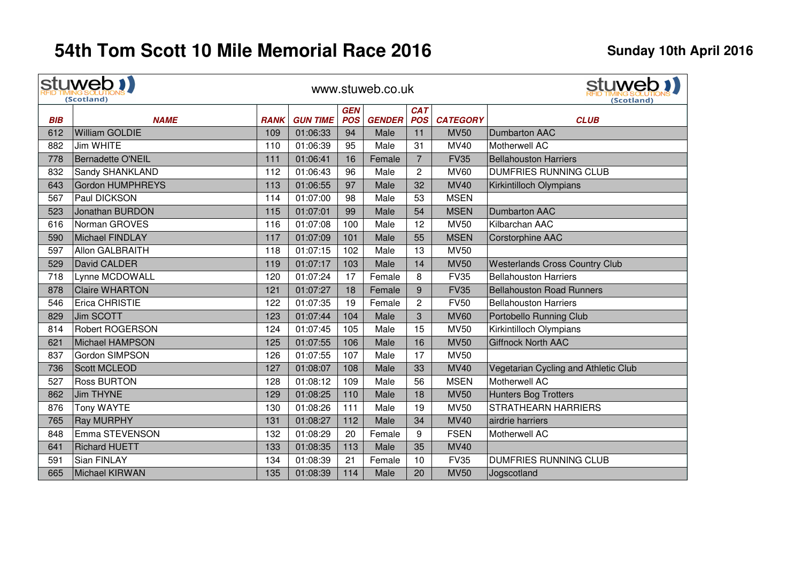|            | stuweb !!<br>(Scotland) |             |                 |                          | www.stuweb.co.uk |                          | stuweb 1)<br>(Scotland) |                                       |
|------------|-------------------------|-------------|-----------------|--------------------------|------------------|--------------------------|-------------------------|---------------------------------------|
| <b>BIB</b> | <b>NAME</b>             | <b>RANK</b> | <b>GUN TIME</b> | <b>GEN</b><br><b>POS</b> | <b>GENDER</b>    | <b>CAT</b><br><b>POS</b> | <b>CATEGORY</b>         | <b>CLUB</b>                           |
| 612        | William GOLDIE          | 109         | 01:06:33        | 94                       | Male             | 11                       | <b>MV50</b>             | Dumbarton AAC                         |
| 882        | Jim WHITE               | 110         | 01:06:39        | 95                       | Male             | 31                       | MV40                    | Motherwell AC                         |
| 778        | Bernadette O'NEIL       | 111         | 01:06:41        | 16                       | Female           | $\overline{7}$           | <b>FV35</b>             | <b>Bellahouston Harriers</b>          |
| 832        | Sandy SHANKLAND         | 112         | 01:06:43        | 96                       | Male             | $\mathbf{2}$             | <b>MV60</b>             | <b>DUMFRIES RUNNING CLUB</b>          |
| 643        | Gordon HUMPHREYS        | 113         | 01:06:55        | 97                       | Male             | 32                       | <b>MV40</b>             | Kirkintilloch Olympians               |
| 567        | Paul DICKSON            | 114         | 01:07:00        | 98                       | Male             | 53                       | <b>MSEN</b>             |                                       |
| 523        | Jonathan BURDON         | 115         | 01:07:01        | 99                       | Male             | 54                       | <b>MSEN</b>             | <b>Dumbarton AAC</b>                  |
| 616        | Norman GROVES           | 116         | 01:07:08        | 100                      | Male             | 12                       | <b>MV50</b>             | Kilbarchan AAC                        |
| 590        | Michael FINDLAY         | 117         | 01:07:09        | 101                      | Male             | 55                       | <b>MSEN</b>             | Corstorphine AAC                      |
| 597        | Allon GALBRAITH         | 118         | 01:07:15        | 102                      | Male             | 13                       | <b>MV50</b>             |                                       |
| 529        | David CALDER            | 119         | 01:07:17        | 103                      | Male             | 14                       | <b>MV50</b>             | <b>Westerlands Cross Country Club</b> |
| 718        | Lynne MCDOWALL          | 120         | 01:07:24        | 17                       | Female           | 8                        | <b>FV35</b>             | <b>Bellahouston Harriers</b>          |
| 878        | <b>Claire WHARTON</b>   | 121         | 01:07:27        | 18                       | Female           | 9                        | <b>FV35</b>             | <b>Bellahouston Road Runners</b>      |
| 546        | Erica CHRISTIE          | 122         | 01:07:35        | 19                       | Female           | $\overline{c}$           | <b>FV50</b>             | <b>Bellahouston Harriers</b>          |
| 829        | Jim SCOTT               | 123         | 01:07:44        | 104                      | Male             | 3                        | <b>MV60</b>             | Portobello Running Club               |
| 814        | <b>Robert ROGERSON</b>  | 124         | 01:07:45        | 105                      | Male             | 15                       | <b>MV50</b>             | Kirkintilloch Olympians               |
| 621        | Michael HAMPSON         | 125         | 01:07:55        | 106                      | Male             | 16                       | <b>MV50</b>             | <b>Giffnock North AAC</b>             |
| 837        | Gordon SIMPSON          | 126         | 01:07:55        | 107                      | Male             | 17                       | <b>MV50</b>             |                                       |
| 736        | Scott MCLEOD            | 127         | 01:08:07        | 108                      | Male             | 33                       | <b>MV40</b>             | Vegetarian Cycling and Athletic Club  |
| 527        | <b>Ross BURTON</b>      | 128         | 01:08:12        | 109                      | Male             | 56                       | <b>MSEN</b>             | Motherwell AC                         |
| 862        | Jim THYNE               | 129         | 01:08:25        | 110                      | Male             | 18                       | <b>MV50</b>             | Hunters Bog Trotters                  |
| 876        | Tony WAYTE              | 130         | 01:08:26        | 111                      | Male             | 19                       | <b>MV50</b>             | <b>STRATHEARN HARRIERS</b>            |
| 765        | <b>Ray MURPHY</b>       | 131         | 01:08:27        | 112                      | Male             | 34                       | <b>MV40</b>             | airdrie harriers                      |
| 848        | Emma STEVENSON          | 132         | 01:08:29        | 20                       | Female           | 9                        | <b>FSEN</b>             | Motherwell AC                         |
| 641        | <b>Richard HUETT</b>    | 133         | 01:08:35        | 113                      | Male             | 35                       | <b>MV40</b>             |                                       |
| 591        | <b>Sian FINLAY</b>      | 134         | 01:08:39        | 21                       | Female           | 10                       | <b>FV35</b>             | <b>DUMFRIES RUNNING CLUB</b>          |
| 665        | Michael KIRWAN          | 135         | 01:08:39        | 114                      | Male             | 20                       | <b>MV50</b>             | Jogscotland                           |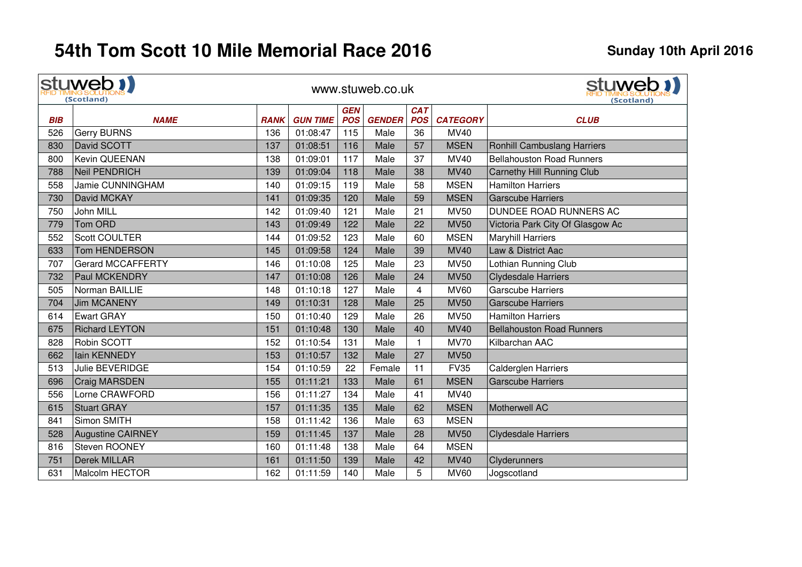|            | stuweb !!<br>(Scotland)           |                    |                 |                          | www.stuweb.co.uk |                          |                 | stuweb !!<br>(Scotland)            |
|------------|-----------------------------------|--------------------|-----------------|--------------------------|------------------|--------------------------|-----------------|------------------------------------|
| <b>BIB</b> |                                   |                    | <b>GUN TIME</b> | <b>GEN</b><br><b>POS</b> | <b>GENDER</b>    | <b>CAT</b><br><b>POS</b> | <b>CATEGORY</b> |                                    |
| 526        | <b>NAME</b><br><b>Gerry BURNS</b> | <b>RANK</b><br>136 | 01:08:47        | 115                      | Male             | 36                       | MV40            | <b>CLUB</b>                        |
| 830        | David SCOTT                       | 137                | 01:08:51        | 116                      | Male             | 57                       | <b>MSEN</b>     | <b>Ronhill Cambuslang Harriers</b> |
| 800        | Kevin QUEENAN                     | 138                | 01:09:01        | 117                      | Male             | 37                       | <b>MV40</b>     | <b>Bellahouston Road Runners</b>   |
| 788        | Neil PENDRICH                     | 139                | 01:09:04        | 118                      | Male             | 38                       | <b>MV40</b>     |                                    |
|            |                                   |                    |                 |                          |                  |                          |                 | Carnethy Hill Running Club         |
| 558        | Jamie CUNNINGHAM                  | 140                | 01:09:15        | 119                      | Male             | 58                       | <b>MSEN</b>     | <b>Hamilton Harriers</b>           |
| 730        | David MCKAY                       | 141                | 01:09:35        | 120                      | Male             | 59                       | <b>MSEN</b>     | <b>Garscube Harriers</b>           |
| 750        | John MILL                         | 142                | 01:09:40        | 121                      | Male             | 21                       | <b>MV50</b>     | DUNDEE ROAD RUNNERS AC             |
| 779        | Tom ORD                           | 143                | 01:09:49        | 122                      | Male             | 22                       | <b>MV50</b>     | Victoria Park City Of Glasgow Ac   |
| 552        | Scott COULTER                     | 144                | 01:09:52        | 123                      | Male             | 60                       | <b>MSEN</b>     | <b>Maryhill Harriers</b>           |
| 633        | <b>Tom HENDERSON</b>              | 145                | 01:09:58        | 124                      | Male             | 39                       | <b>MV40</b>     | Law & District Aac                 |
| 707        | <b>Gerard MCCAFFERTY</b>          | 146                | 01:10:08        | 125                      | Male             | 23                       | <b>MV50</b>     | Lothian Running Club               |
| 732        | <b>Paul MCKENDRY</b>              | 147                | 01:10:08        | 126                      | Male             | 24                       | <b>MV50</b>     | <b>Clydesdale Harriers</b>         |
| 505        | Norman BAILLIE                    | 148                | 01:10:18        | 127                      | Male             | 4                        | <b>MV60</b>     | <b>Garscube Harriers</b>           |
| 704        | <b>Jim MCANENY</b>                | 149                | 01:10:31        | 128                      | Male             | 25                       | <b>MV50</b>     | <b>Garscube Harriers</b>           |
| 614        | <b>Ewart GRAY</b>                 | 150                | 01:10:40        | 129                      | Male             | 26                       | <b>MV50</b>     | <b>Hamilton Harriers</b>           |
| 675        | <b>Richard LEYTON</b>             | 151                | 01:10:48        | 130                      | Male             | 40                       | <b>MV40</b>     | <b>Bellahouston Road Runners</b>   |
| 828        | Robin SCOTT                       | 152                | 01:10:54        | 131                      | Male             | 1.                       | <b>MV70</b>     | Kilbarchan AAC                     |
| 662        | Iain KENNEDY                      | 153                | 01:10:57        | 132                      | Male             | 27                       | <b>MV50</b>     |                                    |
| 513        | Julie BEVERIDGE                   | 154                | 01:10:59        | 22                       | Female           | 11                       | <b>FV35</b>     | Calderglen Harriers                |
| 696        | Craig MARSDEN                     | 155                | 01:11:21        | 133                      | Male             | 61                       | <b>MSEN</b>     | <b>Garscube Harriers</b>           |
| 556        | Lorne CRAWFORD                    | 156                | 01:11:27        | 134                      | Male             | 41                       | MV40            |                                    |
| 615        | <b>Stuart GRAY</b>                | 157                | 01:11:35        | 135                      | Male             | 62                       | <b>MSEN</b>     | Motherwell AC                      |
| 841        | Simon SMITH                       | 158                | 01:11:42        | 136                      | Male             | 63                       | <b>MSEN</b>     |                                    |
| 528        | <b>Augustine CAIRNEY</b>          | 159                | 01:11:45        | 137                      | Male             | 28                       | <b>MV50</b>     | <b>Clydesdale Harriers</b>         |
| 816        | Steven ROONEY                     | 160                | 01:11:48        | 138                      | Male             | 64                       | <b>MSEN</b>     |                                    |
| 751        | <b>Derek MILLAR</b>               | 161                | 01:11:50        | 139                      | Male             | 42                       | <b>MV40</b>     | Clyderunners                       |
| 631        | Malcolm HECTOR                    | 162                | 01:11:59        | 140                      | Male             | 5                        | <b>MV60</b>     | Jogscotland                        |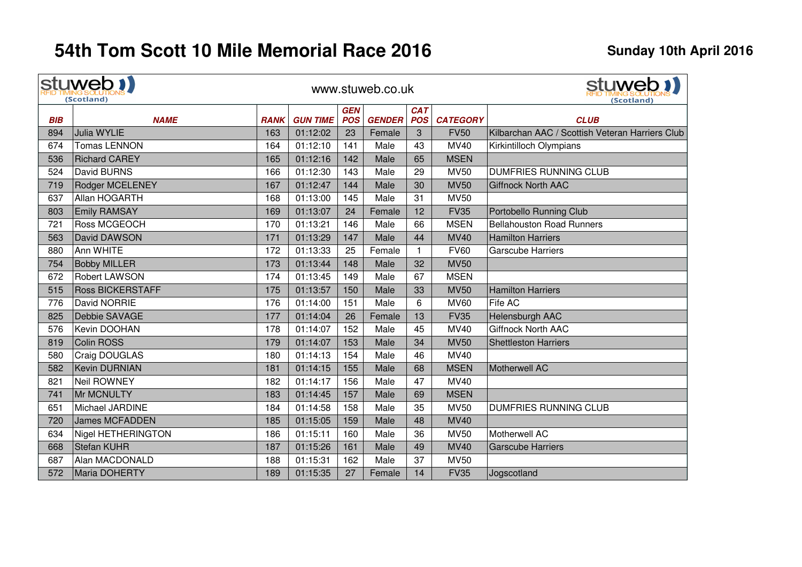$\mathbf{r}$ 

|            | stuweb 1)<br>(Scotland) |             |                 |                          | www.stuweb.co.uk |                          |                 | stuweb 1<br>(Scotland)                          |
|------------|-------------------------|-------------|-----------------|--------------------------|------------------|--------------------------|-----------------|-------------------------------------------------|
| <b>BIB</b> | <b>NAME</b>             | <b>RANK</b> | <b>GUN TIME</b> | <b>GEN</b><br><b>POS</b> | <b>GENDER</b>    | <b>CAT</b><br><b>POS</b> | <b>CATEGORY</b> | <b>CLUB</b>                                     |
| 894        | Julia WYLIE             | 163         | 01:12:02        | 23                       | Female           | 3                        | <b>FV50</b>     | Kilbarchan AAC / Scottish Veteran Harriers Club |
| 674        | <b>Tomas LENNON</b>     | 164         | 01:12:10        | 141                      | Male             | 43                       | MV40            | Kirkintilloch Olympians                         |
| 536        | <b>Richard CAREY</b>    | 165         | 01:12:16        | 142                      | Male             | 65                       | <b>MSEN</b>     |                                                 |
| 524        | David BURNS             | 166         | 01:12:30        | 143                      | Male             | 29                       | <b>MV50</b>     | <b>DUMFRIES RUNNING CLUB</b>                    |
| 719        | <b>Rodger MCELENEY</b>  | 167         | 01:12:47        | 144                      | Male             | 30                       | <b>MV50</b>     | <b>Giffnock North AAC</b>                       |
| 637        | Allan HOGARTH           | 168         | 01:13:00        | 145                      | Male             | 31                       | <b>MV50</b>     |                                                 |
| 803        | <b>Emily RAMSAY</b>     | 169         | 01:13:07        | 24                       | Female           | 12                       | <b>FV35</b>     | Portobello Running Club                         |
| 721        | Ross MCGEOCH            | 170         | 01:13:21        | 146                      | Male             | 66                       | <b>MSEN</b>     | <b>Bellahouston Road Runners</b>                |
| 563        | David DAWSON            | 171         | 01:13:29        | 147                      | Male             | 44                       | <b>MV40</b>     | <b>Hamilton Harriers</b>                        |
| 880        | Ann WHITE               | 172         | 01:13:33        | 25                       | Female           | $\mathbf{1}$             | <b>FV60</b>     | <b>Garscube Harriers</b>                        |
| 754        | <b>Bobby MILLER</b>     | 173         | 01:13:44        | 148                      | Male             | 32                       | <b>MV50</b>     |                                                 |
| 672        | Robert LAWSON           | 174         | 01:13:45        | 149                      | Male             | 67                       | <b>MSEN</b>     |                                                 |
| 515        | <b>Ross BICKERSTAFF</b> | 175         | 01:13:57        | 150                      | Male             | 33                       | <b>MV50</b>     | <b>Hamilton Harriers</b>                        |
| 776        | David NORRIE            | 176         | 01:14:00        | 151                      | Male             | $6\phantom{1}$           | <b>MV60</b>     | Fife AC                                         |
| 825        | Debbie SAVAGE           | 177         | 01:14:04        | 26                       | Female           | 13                       | <b>FV35</b>     | Helensburgh AAC                                 |
| 576        | Kevin DOOHAN            | 178         | 01:14:07        | 152                      | Male             | 45                       | <b>MV40</b>     | <b>Giffnock North AAC</b>                       |
| 819        | Colin ROSS              | 179         | 01:14:07        | 153                      | Male             | 34                       | <b>MV50</b>     | <b>Shettleston Harriers</b>                     |
| 580        | Craig DOUGLAS           | 180         | 01:14:13        | 154                      | Male             | 46                       | MV40            |                                                 |
| 582        | <b>Kevin DURNIAN</b>    | 181         | 01:14:15        | 155                      | Male             | 68                       | <b>MSEN</b>     | Motherwell AC                                   |
| 821        | Neil ROWNEY             | 182         | 01:14:17        | 156                      | Male             | 47                       | MV40            |                                                 |
| 741        | Mr MCNULTY              | 183         | 01:14:45        | 157                      | Male             | 69                       | <b>MSEN</b>     |                                                 |
| 651        | Michael JARDINE         | 184         | 01:14:58        | 158                      | Male             | 35                       | <b>MV50</b>     | <b>DUMFRIES RUNNING CLUB</b>                    |
| 720        | <b>James MCFADDEN</b>   | 185         | 01:15:05        | 159                      | Male             | 48                       | <b>MV40</b>     |                                                 |
| 634        | Nigel HETHERINGTON      | 186         | 01:15:11        | 160                      | Male             | 36                       | <b>MV50</b>     | Motherwell AC                                   |
| 668        | <b>Stefan KUHR</b>      | 187         | 01:15:26        | 161                      | Male             | 49                       | <b>MV40</b>     | <b>Garscube Harriers</b>                        |
| 687        | Alan MACDONALD          | 188         | 01:15:31        | 162                      | Male             | 37                       | <b>MV50</b>     |                                                 |
| 572        | Maria DOHERTY           | 189         | 01:15:35        | 27                       | Female           | 14                       | <b>FV35</b>     | Jogscotland                                     |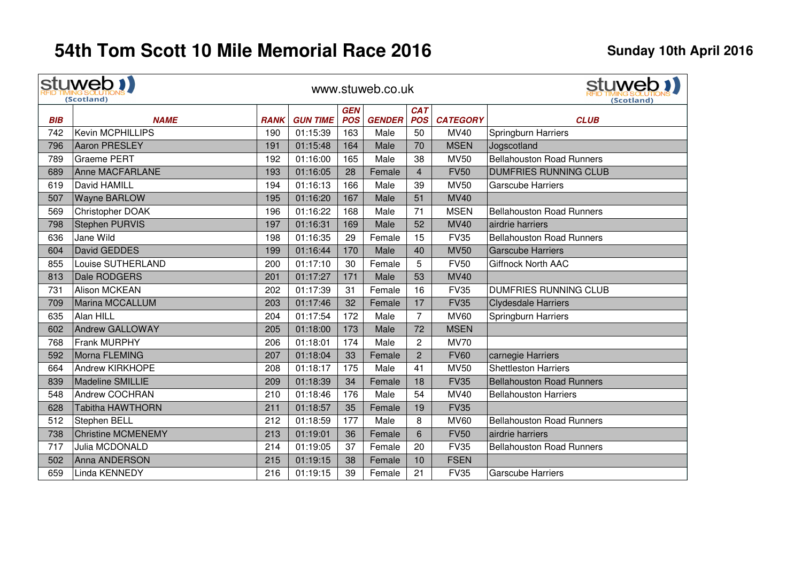|            | stuweb !!<br>(Scotland)   |             |                 |            | www.stuweb.co.uk |                |                 | stuweb 1)<br>(Scotland)          |
|------------|---------------------------|-------------|-----------------|------------|------------------|----------------|-----------------|----------------------------------|
|            |                           |             |                 | <b>GEN</b> |                  | <b>CAT</b>     |                 |                                  |
| <b>BIB</b> | <b>NAME</b>               | <b>RANK</b> | <b>GUN TIME</b> | <b>POS</b> | <b>GENDER</b>    | <b>POS</b>     | <b>CATEGORY</b> | <b>CLUB</b>                      |
| 742        | <b>Kevin MCPHILLIPS</b>   | 190         | 01:15:39        | 163        | Male             | 50             | <b>MV40</b>     | Springburn Harriers              |
| 796        | <b>Aaron PRESLEY</b>      | 191         | 01:15:48        | 164        | Male             | 70             | <b>MSEN</b>     | Jogscotland                      |
| 789        | <b>Graeme PERT</b>        | 192         | 01:16:00        | 165        | Male             | 38             | <b>MV50</b>     | <b>Bellahouston Road Runners</b> |
| 689        | Anne MACFARLANE           | 193         | 01:16:05        | 28         | Female           | $\overline{4}$ | <b>FV50</b>     | <b>DUMFRIES RUNNING CLUB</b>     |
| 619        | David HAMILL              | 194         | 01:16:13        | 166        | Male             | 39             | <b>MV50</b>     | <b>Garscube Harriers</b>         |
| 507        | <b>Wayne BARLOW</b>       | 195         | 01:16:20        | 167        | Male             | 51             | <b>MV40</b>     |                                  |
| 569        | Christopher DOAK          | 196         | 01:16:22        | 168        | Male             | 71             | <b>MSEN</b>     | <b>Bellahouston Road Runners</b> |
| 798        | <b>Stephen PURVIS</b>     | 197         | 01:16:31        | 169        | Male             | 52             | <b>MV40</b>     | airdrie harriers                 |
| 636        | Jane Wild                 | 198         | 01:16:35        | 29         | Female           | 15             | <b>FV35</b>     | <b>Bellahouston Road Runners</b> |
| 604        | David GEDDES              | 199         | 01:16:44        | 170        | Male             | 40             | <b>MV50</b>     | <b>Garscube Harriers</b>         |
| 855        | Louise SUTHERLAND         | 200         | 01:17:10        | 30         | Female           | 5              | <b>FV50</b>     | <b>Giffnock North AAC</b>        |
| 813        | Dale RODGERS              | 201         | 01:17:27        | 171        | Male             | 53             | <b>MV40</b>     |                                  |
| 731        | <b>Alison MCKEAN</b>      | 202         | 01:17:39        | 31         | Female           | 16             | <b>FV35</b>     | <b>DUMFRIES RUNNING CLUB</b>     |
| 709        | Marina MCCALLUM           | 203         | 01:17:46        | 32         | Female           | 17             | <b>FV35</b>     | <b>Clydesdale Harriers</b>       |
| 635        | Alan HILL                 | 204         | 01:17:54        | 172        | Male             | $\overline{7}$ | <b>MV60</b>     | Springburn Harriers              |
| 602        | <b>Andrew GALLOWAY</b>    | 205         | 01:18:00        | 173        | Male             | 72             | <b>MSEN</b>     |                                  |
| 768        | <b>Frank MURPHY</b>       | 206         | 01:18:01        | 174        | Male             | $\overline{c}$ | <b>MV70</b>     |                                  |
| 592        | Morna FLEMING             | 207         | 01:18:04        | 33         | Female           | $\overline{2}$ | <b>FV60</b>     | carnegie Harriers                |
| 664        | <b>Andrew KIRKHOPE</b>    | 208         | 01:18:17        | 175        | Male             | 41             | <b>MV50</b>     | <b>Shettleston Harriers</b>      |
| 839        | Madeline SMILLIE          | 209         | 01:18:39        | 34         | Female           | 18             | <b>FV35</b>     | <b>Bellahouston Road Runners</b> |
| 548        | <b>Andrew COCHRAN</b>     | 210         | 01:18:46        | 176        | Male             | 54             | <b>MV40</b>     | <b>Bellahouston Harriers</b>     |
| 628        | <b>Tabitha HAWTHORN</b>   | 211         | 01:18:57        | 35         | Female           | 19             | <b>FV35</b>     |                                  |
| 512        | <b>Stephen BELL</b>       | 212         | 01:18:59        | 177        | Male             | 8              | <b>MV60</b>     | <b>Bellahouston Road Runners</b> |
| 738        | <b>Christine MCMENEMY</b> | 213         | 01:19:01        | 36         | Female           | 6              | <b>FV50</b>     | airdrie harriers                 |
| 717        | Julia MCDONALD            | 214         | 01:19:05        | 37         | Female           | 20             | <b>FV35</b>     | <b>Bellahouston Road Runners</b> |
| 502        | <b>Anna ANDERSON</b>      | 215         | 01:19:15        | 38         | Female           | 10             | <b>FSEN</b>     |                                  |
| 659        | Linda KENNEDY             | 216         | 01:19:15        | 39         | Female           | 21             | <b>FV35</b>     | <b>Garscube Harriers</b>         |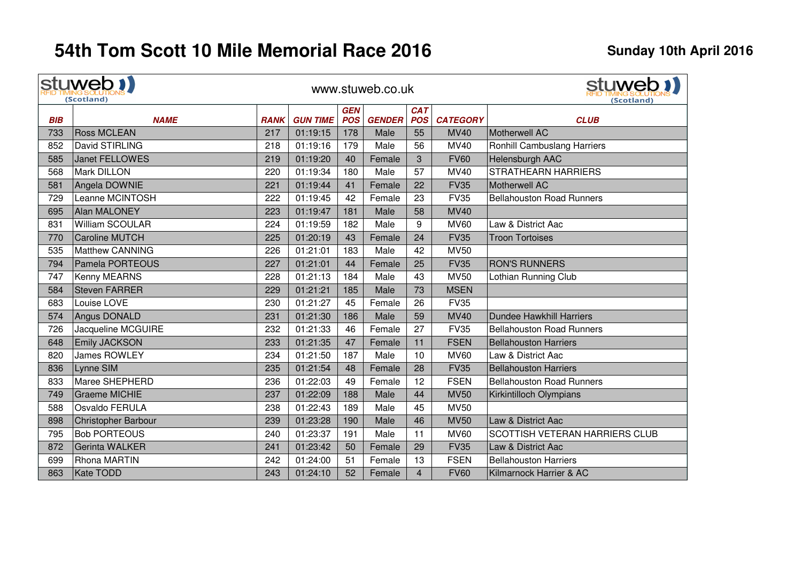|            | stuweb !!<br>(Scotland) |             |                 |                          | www.stuweb.co.uk |                          | stuweb 1)<br>(Scotland` |                                  |
|------------|-------------------------|-------------|-----------------|--------------------------|------------------|--------------------------|-------------------------|----------------------------------|
| <b>BIB</b> | <b>NAME</b>             | <b>RANK</b> | <b>GUN TIME</b> | <b>GEN</b><br><b>POS</b> | <b>GENDER</b>    | <b>CAT</b><br><b>POS</b> | <b>CATEGORY</b>         | <b>CLUB</b>                      |
| 733        | <b>Ross MCLEAN</b>      | 217         | 01:19:15        | 178                      | Male             | 55                       | <b>MV40</b>             | Motherwell AC                    |
| 852        | David STIRLING          | 218         | 01:19:16        | 179                      | Male             | 56                       | MV40                    | Ronhill Cambuslang Harriers      |
| 585        | Janet FELLOWES          | 219         | 01:19:20        | 40                       | Female           | 3                        | <b>FV60</b>             | Helensburgh AAC                  |
| 568        | Mark DILLON             | 220         | 01:19:34        | 180                      | Male             | 57                       | <b>MV40</b>             | <b>STRATHEARN HARRIERS</b>       |
| 581        | Angela DOWNIE           | 221         | 01:19:44        | 41                       | Female           | 22                       | <b>FV35</b>             | Motherwell AC                    |
| 729        | Leanne MCINTOSH         | 222         | 01:19:45        | 42                       | Female           | 23                       | <b>FV35</b>             | <b>Bellahouston Road Runners</b> |
| 695        | Alan MALONEY            | 223         | 01:19:47        | 181                      | Male             | 58                       | <b>MV40</b>             |                                  |
| 831        | William SCOULAR         | 224         | 01:19:59        | 182                      | Male             | 9                        | <b>MV60</b>             | Law & District Aac               |
| 770        | <b>Caroline MUTCH</b>   | 225         | 01:20:19        | 43                       | Female           | 24                       | <b>FV35</b>             | <b>Troon Tortoises</b>           |
| 535        | <b>Matthew CANNING</b>  | 226         | 01:21:01        | 183                      | Male             | 42                       | <b>MV50</b>             |                                  |
| 794        | Pamela PORTEOUS         | 227         | 01:21:01        | 44                       | Female           | 25                       | <b>FV35</b>             | <b>RON'S RUNNERS</b>             |
| 747        | Kenny MEARNS            | 228         | 01:21:13        | 184                      | Male             | 43                       | <b>MV50</b>             | Lothian Running Club             |
| 584        | <b>Steven FARRER</b>    | 229         | 01:21:21        | 185                      | Male             | 73                       | <b>MSEN</b>             |                                  |
| 683        | Louise LOVE             | 230         | 01:21:27        | 45                       | Female           | 26                       | <b>FV35</b>             |                                  |
| 574        | Angus DONALD            | 231         | 01:21:30        | 186                      | Male             | 59                       | <b>MV40</b>             | <b>Dundee Hawkhill Harriers</b>  |
| 726        | Jacqueline MCGUIRE      | 232         | 01:21:33        | 46                       | Female           | 27                       | <b>FV35</b>             | <b>Bellahouston Road Runners</b> |
| 648        | <b>Emily JACKSON</b>    | 233         | 01:21:35        | 47                       | Female           | 11                       | <b>FSEN</b>             | <b>Bellahouston Harriers</b>     |
| 820        | <b>James ROWLEY</b>     | 234         | 01:21:50        | 187                      | Male             | 10                       | <b>MV60</b>             | Law & District Aac               |
| 836        | Lynne SIM               | 235         | 01:21:54        | 48                       | Female           | 28                       | <b>FV35</b>             | <b>Bellahouston Harriers</b>     |
| 833        | Maree SHEPHERD          | 236         | 01:22:03        | 49                       | Female           | 12                       | <b>FSEN</b>             | <b>Bellahouston Road Runners</b> |
| 749        | <b>Graeme MICHIE</b>    | 237         | 01:22:09        | 188                      | Male             | 44                       | <b>MV50</b>             | Kirkintilloch Olympians          |
| 588        | <b>Osvaldo FERULA</b>   | 238         | 01:22:43        | 189                      | Male             | 45                       | <b>MV50</b>             |                                  |
| 898        | Christopher Barbour     | 239         | 01:23:28        | 190                      | Male             | 46                       | <b>MV50</b>             | Law & District Aac               |
| 795        | <b>Bob PORTEOUS</b>     | 240         | 01:23:37        | 191                      | Male             | 11                       | <b>MV60</b>             | SCOTTISH VETERAN HARRIERS CLUB   |
| 872        | Gerinta WALKER          | 241         | 01:23:42        | 50                       | Female           | 29                       | <b>FV35</b>             | Law & District Aac               |
| 699        | <b>Rhona MARTIN</b>     | 242         | 01:24:00        | 51                       | Female           | 13                       | <b>FSEN</b>             | <b>Bellahouston Harriers</b>     |
| 863        | Kate TODD               | 243         | 01:24:10        | 52                       | Female           | $\overline{4}$           | <b>FV60</b>             | Kilmarnock Harrier & AC          |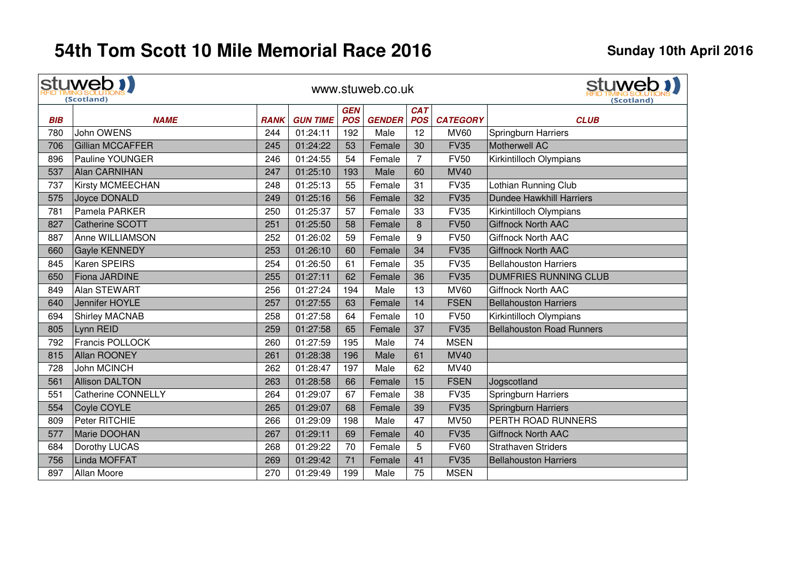|            | stuweb !!<br>(Scotland)   |             |                 |                          | www.stuweb.co.uk |                          |                 | stuweb 1)<br>(Scotland)          |
|------------|---------------------------|-------------|-----------------|--------------------------|------------------|--------------------------|-----------------|----------------------------------|
| <b>BIB</b> | <b>NAME</b>               | <b>RANK</b> | <b>GUN TIME</b> | <b>GEN</b><br><b>POS</b> | <b>GENDER</b>    | <b>CAT</b><br><b>POS</b> | <b>CATEGORY</b> | <b>CLUB</b>                      |
| 780        | John OWENS                | 244         | 01:24:11        | 192                      | Male             | 12                       | <b>MV60</b>     | Springburn Harriers              |
| 706        | Gillian MCCAFFER          | 245         | 01:24:22        | 53                       | Female           | 30                       | <b>FV35</b>     | Motherwell AC                    |
| 896        | <b>Pauline YOUNGER</b>    | 246         | 01:24:55        | 54                       | Female           | 7                        | <b>FV50</b>     | Kirkintilloch Olympians          |
| 537        | <b>Alan CARNIHAN</b>      | 247         | 01:25:10        | 193                      | Male             | 60                       | <b>MV40</b>     |                                  |
| 737        | Kirsty MCMEECHAN          | 248         | 01:25:13        | 55                       | Female           | 31                       | <b>FV35</b>     | Lothian Running Club             |
| 575        | Joyce DONALD              | 249         | 01:25:16        | 56                       | Female           | 32                       | <b>FV35</b>     | <b>Dundee Hawkhill Harriers</b>  |
| 781        | Pamela PARKER             | 250         | 01:25:37        | 57                       | Female           | 33                       | <b>FV35</b>     | Kirkintilloch Olympians          |
| 827        | <b>Catherine SCOTT</b>    | 251         | 01:25:50        | 58                       | Female           | 8                        | <b>FV50</b>     | <b>Giffnock North AAC</b>        |
| 887        | Anne WILLIAMSON           | 252         | 01:26:02        | 59                       | Female           | 9                        | <b>FV50</b>     | <b>Giffnock North AAC</b>        |
| 660        | <b>Gayle KENNEDY</b>      | 253         | 01:26:10        | 60                       | Female           | 34                       | <b>FV35</b>     | <b>Giffnock North AAC</b>        |
| 845        | Karen SPEIRS              | 254         | 01:26:50        | 61                       | Female           | 35                       | <b>FV35</b>     | <b>Bellahouston Harriers</b>     |
| 650        | <b>Fiona JARDINE</b>      | 255         | 01:27:11        | 62                       | Female           | 36                       | <b>FV35</b>     | <b>DUMFRIES RUNNING CLUB</b>     |
| 849        | Alan STEWART              | 256         | 01:27:24        | 194                      | Male             | 13                       | <b>MV60</b>     | <b>Giffnock North AAC</b>        |
| 640        | Jennifer HOYLE            | 257         | 01:27:55        | 63                       | Female           | 14                       | <b>FSEN</b>     | <b>Bellahouston Harriers</b>     |
| 694        | <b>Shirley MACNAB</b>     | 258         | 01:27:58        | 64                       | Female           | 10                       | <b>FV50</b>     | Kirkintilloch Olympians          |
| 805        | Lynn REID                 | 259         | 01:27:58        | 65                       | Female           | 37                       | <b>FV35</b>     | <b>Bellahouston Road Runners</b> |
| 792        | Francis POLLOCK           | 260         | 01:27:59        | 195                      | Male             | 74                       | <b>MSEN</b>     |                                  |
| 815        | <b>Allan ROONEY</b>       | 261         | 01:28:38        | 196                      | Male             | 61                       | <b>MV40</b>     |                                  |
| 728        | <b>John MCINCH</b>        | 262         | 01:28:47        | 197                      | Male             | 62                       | MV40            |                                  |
| 561        | <b>Allison DALTON</b>     | 263         | 01:28:58        | 66                       | Female           | 15                       | <b>FSEN</b>     | Jogscotland                      |
| 551        | <b>Catherine CONNELLY</b> | 264         | 01:29:07        | 67                       | Female           | 38                       | <b>FV35</b>     | Springburn Harriers              |
| 554        | Coyle COYLE               | 265         | 01:29:07        | 68                       | Female           | 39                       | <b>FV35</b>     | Springburn Harriers              |
| 809        | Peter RITCHIE             | 266         | 01:29:09        | 198                      | Male             | 47                       | <b>MV50</b>     | PERTH ROAD RUNNERS               |
| 577        | Marie DOOHAN              | 267         | 01:29:11        | 69                       | Female           | 40                       | <b>FV35</b>     | <b>Giffnock North AAC</b>        |
| 684        | Dorothy LUCAS             | 268         | 01:29:22        | 70                       | Female           | 5                        | <b>FV60</b>     | <b>Strathaven Striders</b>       |
| 756        | Linda MOFFAT              | 269         | 01:29:42        | 71                       | Female           | 41                       | <b>FV35</b>     | <b>Bellahouston Harriers</b>     |
| 897        | Allan Moore               | 270         | 01:29:49        | 199                      | Male             | 75                       | <b>MSEN</b>     |                                  |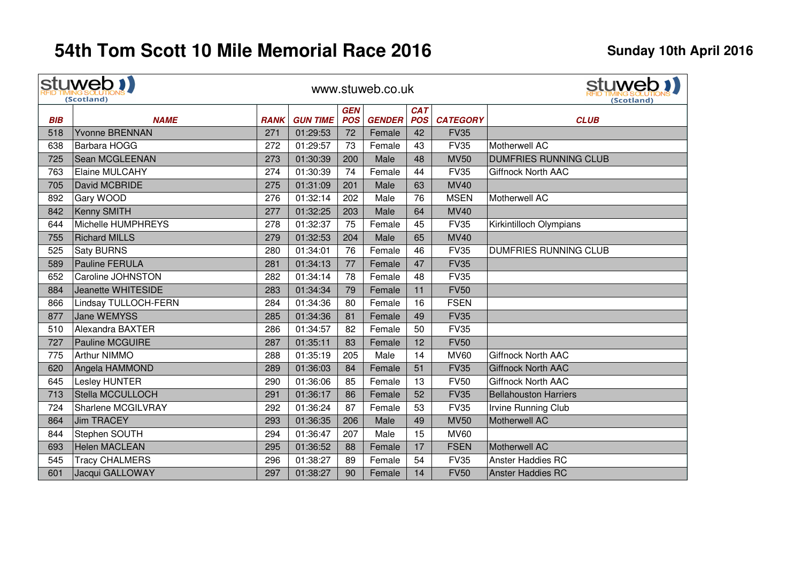|            | stuweb !!<br>(Scotland)   |             |                 |                          | www.stuweb.co.uk |                          | stuweb 1<br>(Scotland) |                              |
|------------|---------------------------|-------------|-----------------|--------------------------|------------------|--------------------------|------------------------|------------------------------|
| <b>BIB</b> | <b>NAME</b>               | <b>RANK</b> | <b>GUN TIME</b> | <b>GEN</b><br><b>POS</b> | <b>GENDER</b>    | <b>CAT</b><br><b>POS</b> | <b>CATEGORY</b>        | <b>CLUB</b>                  |
| 518        | <b>Yvonne BRENNAN</b>     | 271         | 01:29:53        | 72                       | Female           | 42                       | <b>FV35</b>            |                              |
| 638        | Barbara HOGG              | 272         | 01:29:57        | 73                       | Female           | 43                       | <b>FV35</b>            | Motherwell AC                |
| 725        | Sean MCGLEENAN            | 273         | 01:30:39        | 200                      | Male             | 48                       | <b>MV50</b>            | <b>DUMFRIES RUNNING CLUB</b> |
| 763        | <b>Elaine MULCAHY</b>     | 274         | 01:30:39        | 74                       | Female           | 44                       | <b>FV35</b>            | Giffnock North AAC           |
| 705        | David MCBRIDE             | 275         | 01:31:09        | 201                      | Male             | 63                       | <b>MV40</b>            |                              |
| 892        | Gary WOOD                 | 276         | 01:32:14        | 202                      | Male             | 76                       | <b>MSEN</b>            | Motherwell AC                |
| 842        | Kenny SMITH               | 277         | 01:32:25        | 203                      | Male             | 64                       | <b>MV40</b>            |                              |
| 644        | Michelle HUMPHREYS        | 278         | 01:32:37        | 75                       | Female           | 45                       | <b>FV35</b>            | Kirkintilloch Olympians      |
| 755        | <b>Richard MILLS</b>      | 279         | 01:32:53        | 204                      | Male             | 65                       | <b>MV40</b>            |                              |
| 525        | <b>Saty BURNS</b>         | 280         | 01:34:01        | 76                       | Female           | 46                       | <b>FV35</b>            | <b>DUMFRIES RUNNING CLUB</b> |
| 589        | <b>Pauline FERULA</b>     | 281         | 01:34:13        | 77                       | Female           | 47                       | <b>FV35</b>            |                              |
| 652        | Caroline JOHNSTON         | 282         | 01:34:14        | 78                       | Female           | 48                       | <b>FV35</b>            |                              |
| 884        | Jeanette WHITESIDE        | 283         | 01:34:34        | 79                       | Female           | 11                       | <b>FV50</b>            |                              |
| 866        | Lindsay TULLOCH-FERN      | 284         | 01:34:36        | 80                       | Female           | 16                       | <b>FSEN</b>            |                              |
| 877        | Jane WEMYSS               | 285         | 01:34:36        | 81                       | Female           | 49                       | <b>FV35</b>            |                              |
| 510        | Alexandra BAXTER          | 286         | 01:34:57        | 82                       | Female           | 50                       | <b>FV35</b>            |                              |
| 727        | Pauline MCGUIRE           | 287         | 01:35:11        | 83                       | Female           | 12                       | <b>FV50</b>            |                              |
| 775        | Arthur NIMMO              | 288         | 01:35:19        | 205                      | Male             | 14                       | <b>MV60</b>            | <b>Giffnock North AAC</b>    |
| 620        | Angela HAMMOND            | 289         | 01:36:03        | 84                       | Female           | 51                       | <b>FV35</b>            | <b>Giffnock North AAC</b>    |
| 645        | Lesley HUNTER             | 290         | 01:36:06        | 85                       | Female           | 13                       | <b>FV50</b>            | <b>Giffnock North AAC</b>    |
| 713        | Stella MCCULLOCH          | 291         | 01:36:17        | 86                       | Female           | 52                       | <b>FV35</b>            | <b>Bellahouston Harriers</b> |
| 724        | <b>Sharlene MCGILVRAY</b> | 292         | 01:36:24        | 87                       | Female           | 53                       | <b>FV35</b>            | <b>Irvine Running Club</b>   |
| 864        | Jim TRACEY                | 293         | 01:36:35        | 206                      | Male             | 49                       | <b>MV50</b>            | Motherwell AC                |
| 844        | Stephen SOUTH             | 294         | 01:36:47        | 207                      | Male             | 15                       | <b>MV60</b>            |                              |
| 693        | Helen MACLEAN             | 295         | 01:36:52        | 88                       | Female           | 17                       | <b>FSEN</b>            | Motherwell AC                |
| 545        | <b>Tracy CHALMERS</b>     | 296         | 01:38:27        | 89                       | Female           | 54                       | <b>FV35</b>            | <b>Anster Haddies RC</b>     |
| 601        | Jacqui GALLOWAY           | 297         | 01:38:27        | 90                       | Female           | 14                       | <b>FV50</b>            | <b>Anster Haddies RC</b>     |